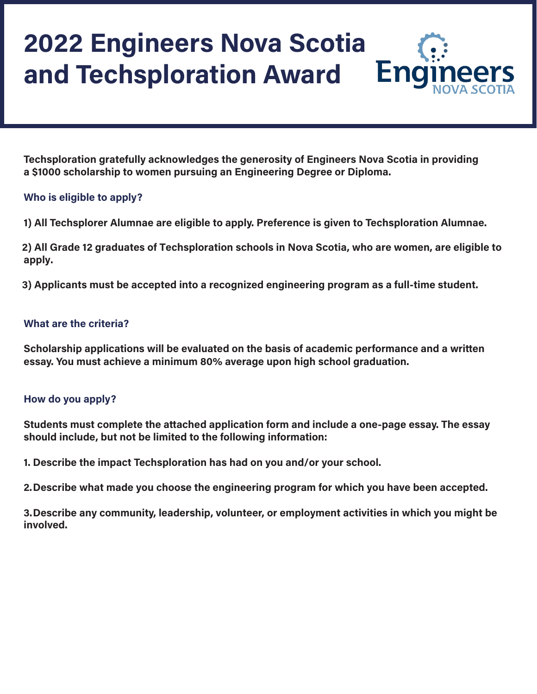# **2022 Engineers Nova Scotia and Techsploration Award**



**Techsploration gratefully acknowledges the generosity of Engineers Nova Scotia in providing a \$1000 scholarship to women pursuing an Engineering Degree or Diploma.**

# **Who is eligible to apply?**

**1) All Techsplorer Alumnae are eligible to apply. Preference is given to Techsploration Alumnae.**

**2) All Grade 12 graduates of Techsploration schools in Nova Scotia, who are women, are eligible to apply.**

**3) Applicants must be accepted into a recognized engineering program as a full-time student.**

### **What are the criteria?**

**Scholarship applications will be evaluated on the basis of academic performance and a written essay. You must achieve a minimum 80% average upon high school graduation.** 

## **How do you apply?**

**Students must complete the attached application form and include a one-page essay. The essay should include, but not be limited to the following information:** 

**1. Describe the impact Techsploration has had on you and/or your school.**

**2.Describe what made you choose the engineering program for which you have been accepted.**

**3.Describe any community, leadership, volunteer, or employment activities in which you might be involved.**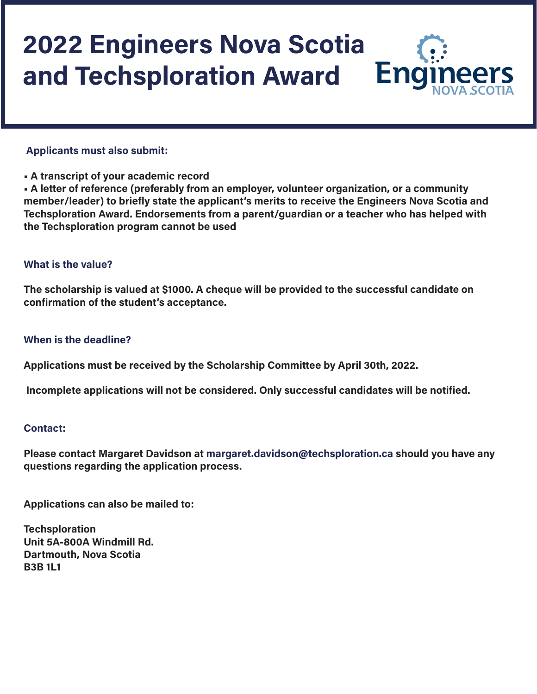# **2022 Engineers Nova Scotia and Techsploration Award**Eng

#### **Applicants must also submit:**

**• A transcript of your academic record** 

**• A letter of reference (preferably from an employer, volunteer organization, or a community member/leader) to briefly state the applicant's merits to receive the Engineers Nova Scotia and Techsploration Award. Endorsements from a parent/guardian or a teacher who has helped with the Techsploration program cannot be used**

### **What is the value?**

**The scholarship is valued at \$1000. A cheque will be provided to the successful candidate on confirmation of the student's acceptance.** 

#### **When is the deadline?**

**Applications must be received by the Scholarship Committee by April 30th, 2022.** 

 **Incomplete applications will not be considered. Only successful candidates will be notified.** 

#### **Contact:**

**Please contact Margaret Davidson at margaret.davidson@techsploration.ca should you have any questions regarding the application process.** 

**Applications can also be mailed to:** 

**Techsploration Unit 5A-800A Windmill Rd. Dartmouth, Nova Scotia B3B 1L1**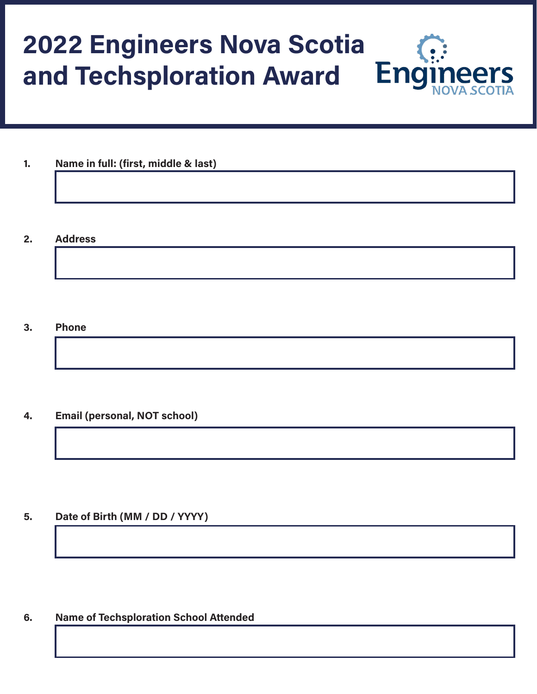# **2022 Engineers Nova Scotia and Techsploration AwardEng**

- **1. Name in full: (first, middle & last)**
- **2. Address**

#### **3. Phone**

**4. Email (personal, NOT school)**

**5. Date of Birth (MM / DD / YYYY)**

**6. Name of Techsploration School Attended**